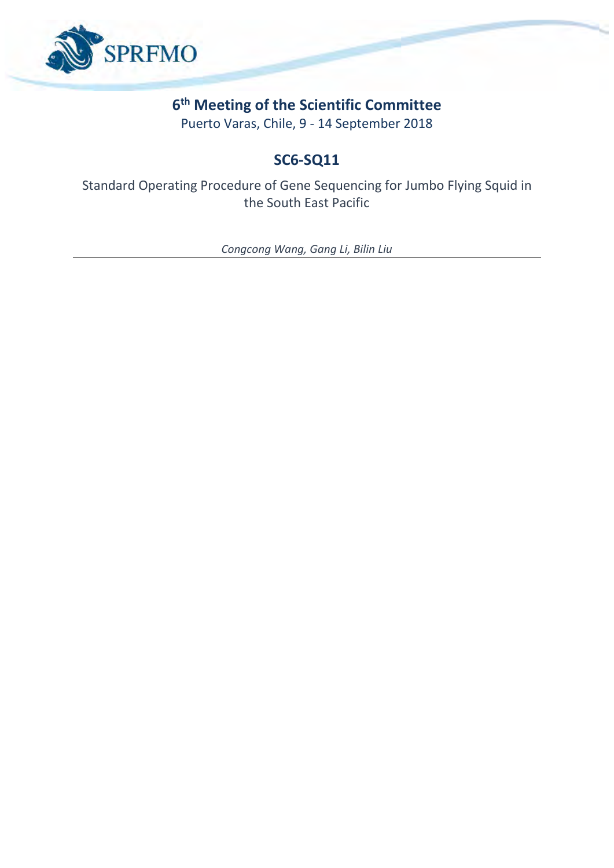

# **6 th Meeting of the Scientific Committee**

Puerto Varas, Chile, 9 - 14 September 2018

# **SC6-SQ11**

Standard Operating Procedure of Gene Sequencing for Jumbo Flying Squid in the South East Pacific

*Congcong Wang, Gang Li, Bilin Liu*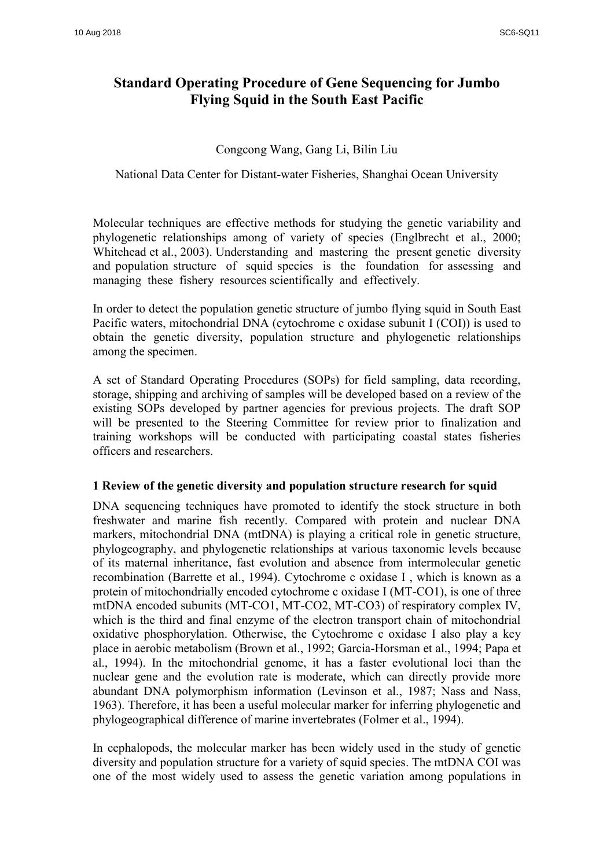# **Standard Operating Procedure of Gene Sequencing for Jumbo Flying Squid in the South East Pacific**

# Congcong Wang, Gang Li, Bilin Liu

National Data Center for Distant-water Fisheries, Shanghai Ocean University

Molecular techniques are effective methods for studying the genetic variability and phylogenetic relationships among of variety of species (Englbrecht et al., 2000; Whitehead et al., 2003). Understanding and mastering the present genetic diversity and population structure of squid species is the foundation for assessing and managing these fishery resources scientifically and effectively.

In order to detect the population genetic structure of jumbo flying squid in South East Pacific waters, mitochondrial DNA (cytochrome c oxidase subunit I (COI)) is used to obtain the genetic diversity, population structure and phylogenetic relationships among the specimen.

A set of Standard Operating Procedures (SOPs) for field sampling, data recording, storage, shipping and archiving of samples will be developed based on a review of the existing SOPs developed by partner agencies for previous projects. The draft SOP will be presented to the Steering Committee for review prior to finalization and training workshops will be conducted with participating coastal states fisheries officers and researchers.

# **1 Review of the genetic diversity and population structure research for squid**

DNA sequencing techniques have promoted to identify the stock structure in both freshwater and marine fish recently. Compared with protein and nuclear DNA markers, mitochondrial DNA (mtDNA) is playing a critical role in genetic structure, phylogeography, and phylogenetic relationships at various taxonomic levels because of its maternal inheritance, fast evolution and absence from intermolecular genetic recombination (Barrette et al., 1994). Cytochrome c oxidase I , which is known as a protein of mitochondrially encoded cytochrome c oxidase I (MT-CO1), is one of three mtDNA encoded subunits (MT-CO1, MT-CO2, MT-CO3) of respiratory complex IV, which is the third and final enzyme of the electron transport chain of mitochondrial oxidative phosphorylation. Otherwise, the Cytochrome c oxidase I also play a key place in aerobic metabolism (Brown et al., 1992; Garcia-Horsman et al., 1994; Papa et al., 1994). In the mitochondrial genome, it has a faster evolutional loci than the nuclear gene and the evolution rate is moderate, which can directly provide more abundant DNA polymorphism information (Levinson et al., 1987; Nass and Nass, 1963). Therefore, it has been a useful molecular marker for inferring phylogenetic and phylogeographical difference of marine invertebrates (Folmer et al., 1994).

In cephalopods, the molecular marker has been widely used in the study of genetic diversity and population structure for a variety of squid species. The mtDNA COI was one of the most widely used to assess the genetic variation among populations in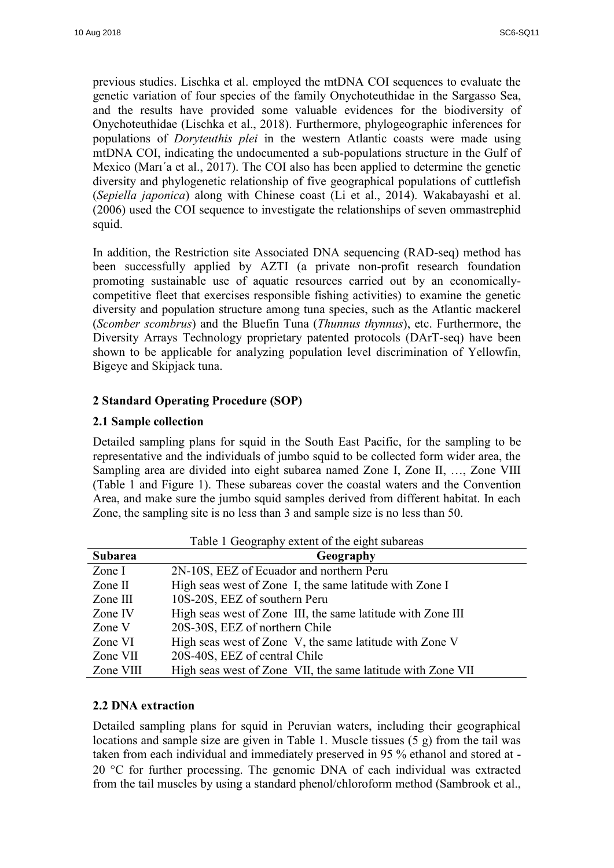previous studies. Lischka et al. employed the mtDNA COI sequences to evaluate the genetic variation of four species of the family Onychoteuthidae in the Sargasso Sea, and the results have provided some valuable evidences for the biodiversity of Onychoteuthidae (Lischka et al., 2018). Furthermore, phylogeographic inferences for populations of *Doryteuthis plei* in the western Atlantic coasts were made using mtDNA COI, indicating the undocumented a sub-populations structure in the Gulf of Mexico (Marı´a et al., 2017). The COI also has been applied to determine the genetic diversity and phylogenetic relationship of five geographical populations of cuttlefish (*Sepiella japonica*) along with Chinese coast (Li et al., 2014). Wakabayashi et al. (2006) used the COI sequence to investigate the relationships of seven ommastrephid squid.

In addition, the Restriction site Associated DNA sequencing (RAD-seq) method has been successfully applied by AZTI (a private non-profit research foundation promoting sustainable use of aquatic resources carried out by an economicallycompetitive fleet that exercises responsible fishing activities) to examine the genetic diversity and population structure among tuna species, such as the Atlantic mackerel (*Scomber scombrus*) and the Bluefin Tuna (*Thunnus thynnus*), etc. Furthermore, the Diversity Arrays Technology proprietary patented protocols (DArT-seq) have been shown to be applicable for analyzing population level discrimination of Yellowfin, Bigeye and Skipjack tuna.

# **2 Standard Operating Procedure (SOP)**

#### **2.1 Sample collection**

Detailed sampling plans for squid in the South East Pacific, for the sampling to be representative and the individuals of jumbo squid to be collected form wider area, the Sampling area are divided into eight subarea named Zone I, Zone II, ..., Zone VIII (Table 1 and Figure 1). These subareas cover the coastal waters and the Convention Area, and make sure the jumbo squid samples derived from different habitat. In each Zone, the sampling site is no less than 3 and sample size is no less than 50.

| <b>Subarea</b> | Geography                                                   |
|----------------|-------------------------------------------------------------|
| Zone I         | 2N-10S, EEZ of Ecuador and northern Peru                    |
| Zone $II$      | High seas west of Zone I, the same latitude with Zone I     |
| Zone $III$     | 10S-20S, EEZ of southern Peru                               |
| Zone IV        | High seas west of Zone III, the same latitude with Zone III |
| Zone V         | 20S-30S, EEZ of northern Chile                              |
| Zone VI        | High seas west of Zone V, the same latitude with Zone V     |
| Zone VII       | 20S-40S, EEZ of central Chile                               |
| Zone VIII      | High seas west of Zone VII, the same latitude with Zone VII |

Table 1 Geography extent of the eight subareas

### **2.2 DNA extraction**

Detailed sampling plans for squid in Peruvian waters, including their geographical locations and sample size are given in Table 1. Muscle tissues  $(5 g)$  from the tail was taken from each individual and immediately preserved in 95 % ethanol and stored at -  $20$  °C for further processing. The genomic DNA of each individual was extracted from the tail muscles by using a standard phenol/chloroform method (Sambrook et al.,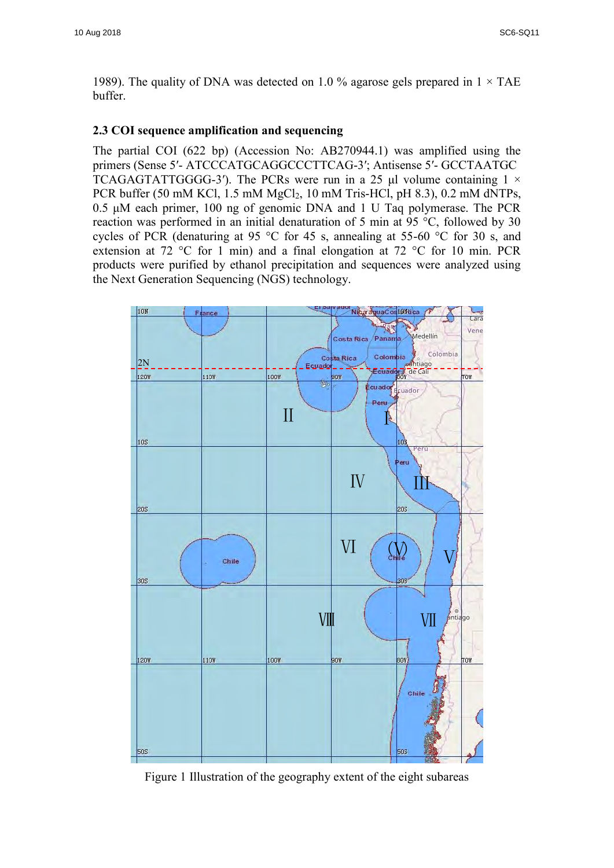1989). The quality of DNA was detected on 1.0 % agarose gels prepared in  $1 \times$  TAE buffer.

#### **2.3 COI sequence amplification and sequencing**

The partial COI (622 bp) (Accession No: AB270944.1) was amplified using the primers (Sense 5′- ATCCCATGCAGGCCCTTCAG-3′; Antisense 5′- GCCTAATGC TCAGAGTATTGGGG-3'). The PCRs were run in a 25 μl volume containing  $1 \times$ PCR buffer (50 mM KCl, 1.5 mM MgCl2, 10 mM Tris-HCl, pH 8.3), 0.2 mM dNTPs, 0.5 μM each primer, 100 ng of genomic DNA and 1 U Taq polymerase. The PCR reaction was performed in an initial denaturation of 5 min at 95 °C, followed by 30 cycles of PCR (denaturing at 95 °C for 45 s, annealing at 55-60 °C for 30 s, and extension at 72 °C for 1 min) and a final elongation at 72 °C for 10 min. PCR products were purified by ethanol precipitation and sequences were analyzed using the Next Generation Sequencing (NGS) technology.



Figure 1 Illustration of the geography extent of the eight subareas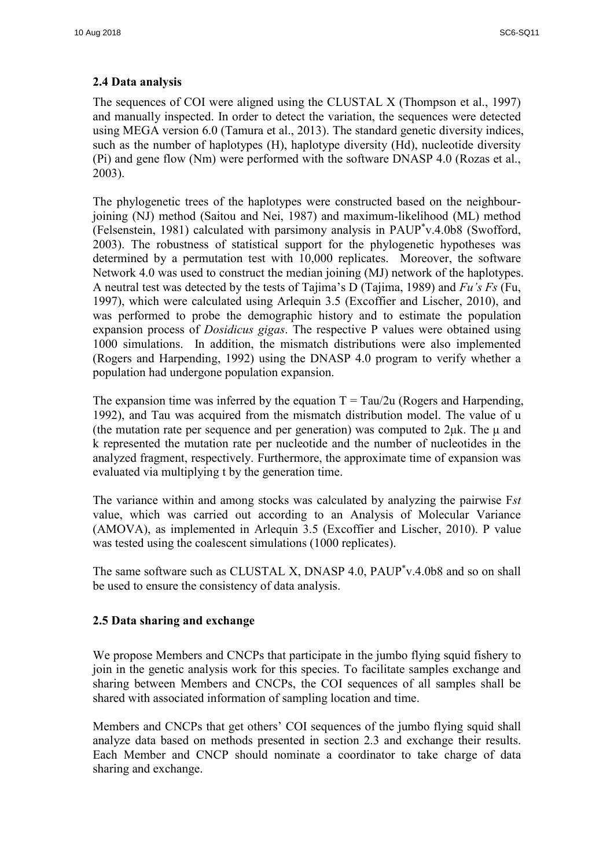# **2.4 Data analysis**

The sequences of COI were aligned using the CLUSTAL X (Thompson et al., 1997) and manually inspected. In order to detect the variation, the sequences were detected using MEGA version 6.0 (Tamura et al., 2013). The standard genetic diversity indices, such as the number of haplotypes (H), haplotype diversity (Hd), nucleotide diversity (Pi) and gene flow (Nm) were performed with the software DNASP 4.0 (Rozas et al., 2003).

The phylogenetic trees of the haplotypes were constructed based on the neighbourjoining (NJ) method (Saitou and Nei, 1987) and maximum-likelihood (ML) method (Felsenstein, 1981) calculated with parsimony analysis in PAUP\* v.4.0b8 (Swofford, 2003). The robustness of statistical support for the phylogenetic hypotheses was determined by a permutation test with 10,000 replicates. Moreover, the software Network 4.0 was used to construct the median joining (MJ) network of the haplotypes. A neutral test was detected by the tests of Tajima's D (Tajima, 1989) and *Fu's Fs* (Fu, 1997), which were calculated using Arlequin 3.5 (Excoffier and Lischer, 2010), and was performed to probe the demographic history and to estimate the population expansion process of *Dosidicus gigas*. The respective P values were obtained using 1000 simulations. In addition, the mismatch distributions were also implemented (Rogers and Harpending, 1992) using the DNASP 4.0 program to verify whether a population had undergone population expansion.

The expansion time was inferred by the equation  $T = Tau/2u$  (Rogers and Harpending, 1992), and Tau was acquired from the mismatch distribution model. The value of u (the mutation rate per sequence and per generation) was computed to  $2\mu$ k. The  $\mu$  and k represented the mutation rate per nucleotide and the number of nucleotides in the analyzed fragment, respectively. Furthermore, the approximate time of expansion was evaluated via multiplying t by the generation time.

The variance within and among stocks was calculated by analyzing the pairwise F*st* value, which was carried out according to an Analysis of Molecular Variance (AMOVA), as implemented in Arlequin 3.5 (Excoffier and Lischer, 2010). P value was tested using the coalescent simulations (1000 replicates).

The same software such as CLUSTAL X, DNASP 4.0, PAUP<sup>\*</sup>v.4.0b8 and so on shall be used to ensure the consistency of data analysis.

# **2.5 Data sharing and exchange**

We propose Members and CNCPs that participate in the jumbo flying squid fishery to join in the genetic analysis work for this species. To facilitate samples exchange and sharing between Members and CNCPs, the COI sequences of all samples shall be shared with associated information of sampling location and time.

Members and CNCPs that get others' COI sequences of the jumbo flying squid shall analyze data based on methods presented in section 2.3 and exchange their results. Each Member and CNCP should nominate a coordinator to take charge of data sharing and exchange.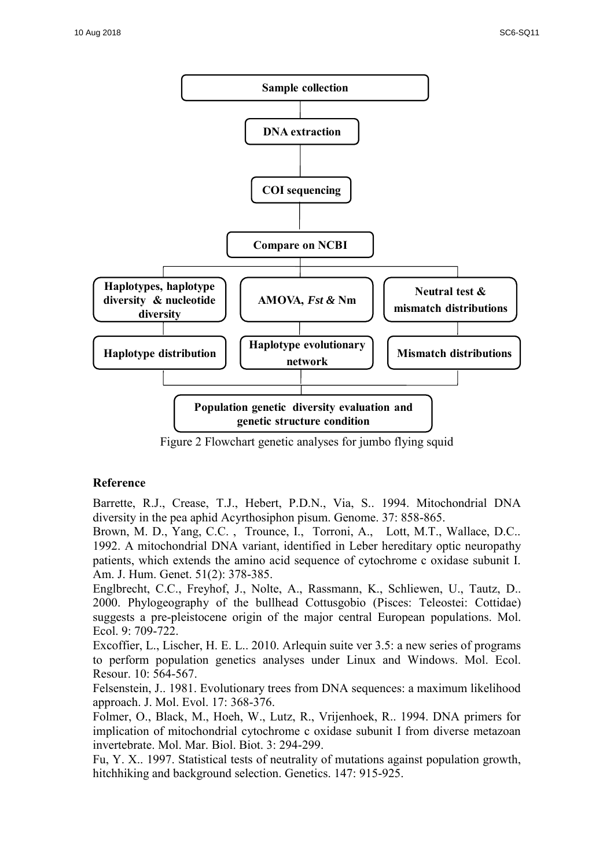

Figure 2 Flowchart genetic analyses for jumbo flying squid

# **Reference**

Barrette, R.J., Crease, T.J., Hebert, P.D.N., Via, S.. 1994. Mitochondrial DNA diversity in the pea aphid Acyrthosiphon pisum. Genome. 37: 858-865.

Brown, M. D., Yang, C.C. , Trounce, I., Torroni, A., Lott, M.T., Wallace, D.C.. 1992. A mitochondrial DNA variant, identified in Leber hereditary optic neuropathy patients, which extends the amino acid sequence of cytochrome c oxidase subunit I. Am. J. Hum. Genet. 51(2): 378-385.

Englbrecht, C.C., Freyhof, J., Nolte, A., Rassmann, K., Schliewen, U., Tautz, D.. 2000. Phylogeography of the bullhead Cottusgobio (Pisces: Teleostei: Cottidae) suggests a pre-pleistocene origin of the major central European populations. Mol. Ecol. 9: 709-722.

Excoffier, L., Lischer, H. E. L.. 2010. Arlequin suite ver 3.5: a new series of programs to perform population genetics analyses under Linux and Windows. Mol. Ecol. Resour. 10: 564-567.

Felsenstein, J.. 1981. Evolutionary trees from DNA sequences: a maximum likelihood approach. J. Mol. Evol. 17: 368-376.

Folmer, O., Black, M., Hoeh, W., Lutz, R., Vrijenhoek, R.. 1994. DNA primers for implication of mitochondrial cytochrome c oxidase subunit I from diverse metazoan invertebrate. Mol. Mar. Biol. Biot. 3: 294-299.

Fu, Y. X.. 1997. Statistical tests of neutrality of mutations against population growth, hitchhiking and background selection. Genetics. 147: 915-925.